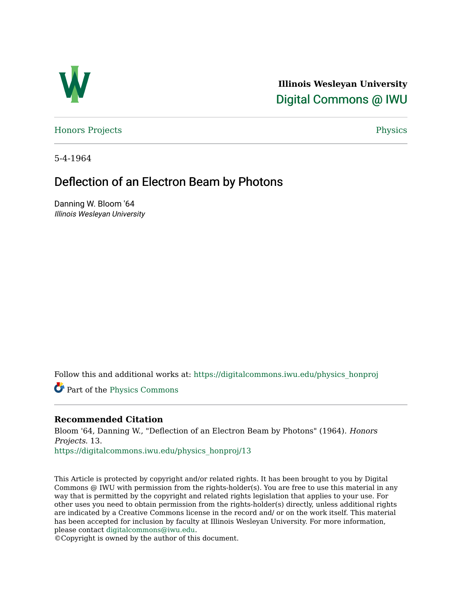

**Illinois Wesleyan University**  [Digital Commons @ IWU](https://digitalcommons.iwu.edu/) 

[Honors Projects](https://digitalcommons.iwu.edu/physics_honproj) **Physics** [Physics](https://digitalcommons.iwu.edu/physics) **Physics** 

5-4-1964

# Deflection of an Electron Beam by Photons

Danning W. Bloom '64 Illinois Wesleyan University

Follow this and additional works at: [https://digitalcommons.iwu.edu/physics\\_honproj](https://digitalcommons.iwu.edu/physics_honproj?utm_source=digitalcommons.iwu.edu%2Fphysics_honproj%2F13&utm_medium=PDF&utm_campaign=PDFCoverPages) 

Part of the [Physics Commons](http://network.bepress.com/hgg/discipline/193?utm_source=digitalcommons.iwu.edu%2Fphysics_honproj%2F13&utm_medium=PDF&utm_campaign=PDFCoverPages) 

## **Recommended Citation**

Bloom '64, Danning W., "Deflection of an Electron Beam by Photons" (1964). Honors Projects. 13.

[https://digitalcommons.iwu.edu/physics\\_honproj/13](https://digitalcommons.iwu.edu/physics_honproj/13?utm_source=digitalcommons.iwu.edu%2Fphysics_honproj%2F13&utm_medium=PDF&utm_campaign=PDFCoverPages)

This Article is protected by copyright and/or related rights. It has been brought to you by Digital Commons @ IWU with permission from the rights-holder(s). You are free to use this material in any way that is permitted by the copyright and related rights legislation that applies to your use. For other uses you need to obtain permission from the rights-holder(s) directly, unless additional rights are indicated by a Creative Commons license in the record and/ or on the work itself. This material has been accepted for inclusion by faculty at Illinois Wesleyan University. For more information, please contact [digitalcommons@iwu.edu.](mailto:digitalcommons@iwu.edu)

©Copyright is owned by the author of this document.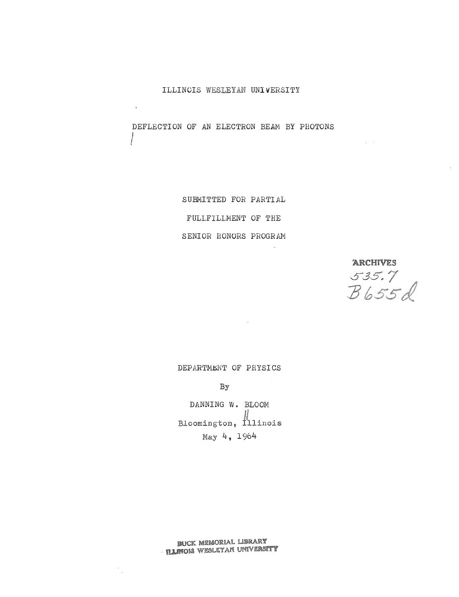ILLINCIS WESLEYAN UNIVERSITY

DEFLECTION OF AN ELECTRON BEAM BY PHOTONS

/

 $\frac{1}{2}$ 

SUB�ITTED FOR PARTIAL FULLFILLMENT OF THE SENIOR HONURS PROGRM�

**ARCHIVES**  $535.7$ <br> $B655d$ 

 $\omega = \omega$ 

DEPARTMENT OF PHYSICS

By

DANNING W. BLOOM<br>Bloomington, Illinois May 4, 1964

**BUCK MEMORIAL LIBRARY ILINOIS WEBLEYAN UNIVERSITY**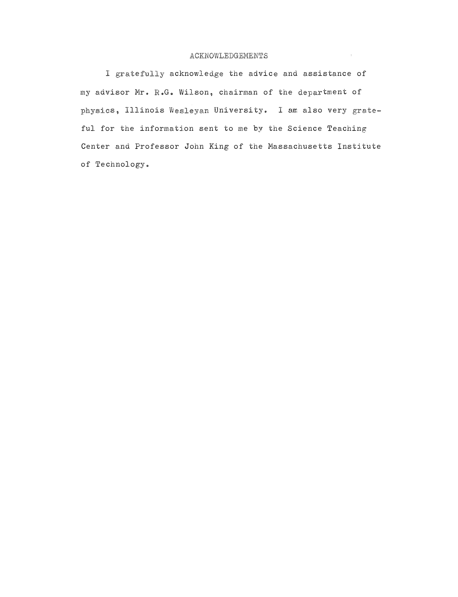### ACKNOWLEDGEMENTS

 $\sim$   $\pm$ 

I gratefully acknowledge the advice and assistance of my advisor Mr. R.G. Wilson, chairman of the department of physics, Illinois Wesleyan University. I am also very grateful for the information sent to me by the Science Teaching Center and Professor John King of the Massachusetts Institute of Technology.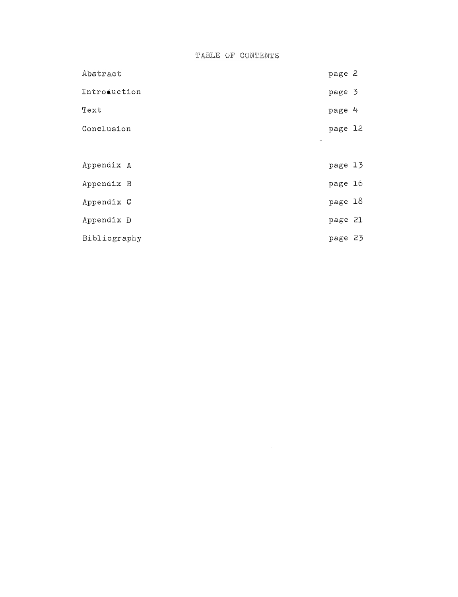TABLE OF CONTENTS

| Abstract                    | page 2  |  |
|-----------------------------|---------|--|
| Introduction                | page 3  |  |
| Text                        | page 4  |  |
| Conclusion                  | page 12 |  |
| $\mathcal{A}_{\mathcal{Y}}$ |         |  |
| Appendix A                  | page 13 |  |
| Appendix B                  | page 16 |  |
| Appendix C                  | page 18 |  |
| Appendix D                  | page 21 |  |
| Bibliography                | page 23 |  |

 $\mathcal{L}^{\text{max}}_{\text{max}}$  , where  $\mathcal{L}^{\text{max}}_{\text{max}}$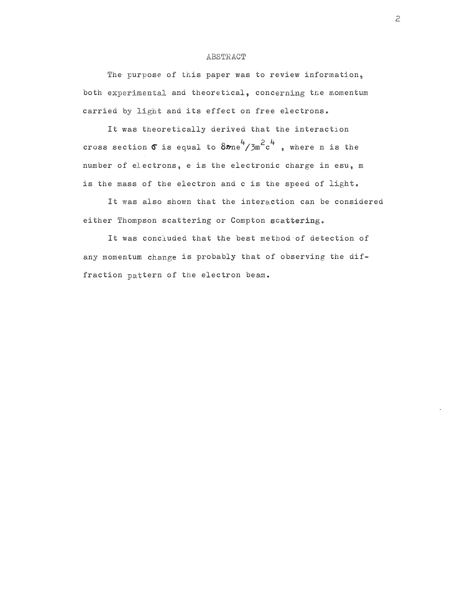#### ABSTRACT

The purpose of this paper was to review information, both experimental and theoretical, concerning the momentum carried by light and its effect on free electrons.

It was theoretically derived that the interaction cross section  $\sigma$  is equal to  $8\pi n e^4/3m^2c^4$  , where n is the number of electrons, e is the electronic charge in esu, m is the mass of the electron and c is the speed of light.

It was also shown that the interaction can be considered either Thompson scattering or Compton scattering.

It was concluded that the best method of detection of any momentum change is probably that of observing the diffraction pattern of the electron beam.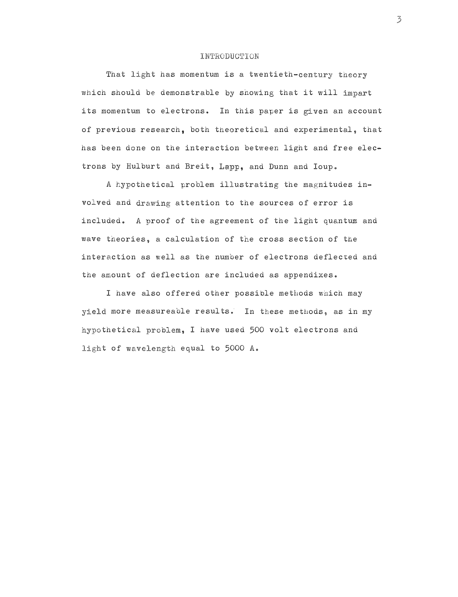#### **INTRODUCTION**

That light has momentum is a twentieth-century theory which should be demonstrable by showing that it will impart its momentum to electrons. In this paper is given an account of previous research, both theoretic�l and experimental, that has been done on the interaction between light and free electrons by Hulburt and Breit, Lapp, and Dunn and Ioup.

A hypothetical problem illustrating the magnitudes involved and drawing attention to the sources of error is included. A proof of the agreement of the light quantum and wave theories, a calculation of the cross section of the interaction as well as the number of electrons deflected and the amount of deflection are included as appendixes .

I have also offered other possible methods wnich may yield more measureable results. In these methods, as in my thetical problem, I have used 500 volt electrons and t of wavelength equal to 5000 A.

 $\mathbb Z$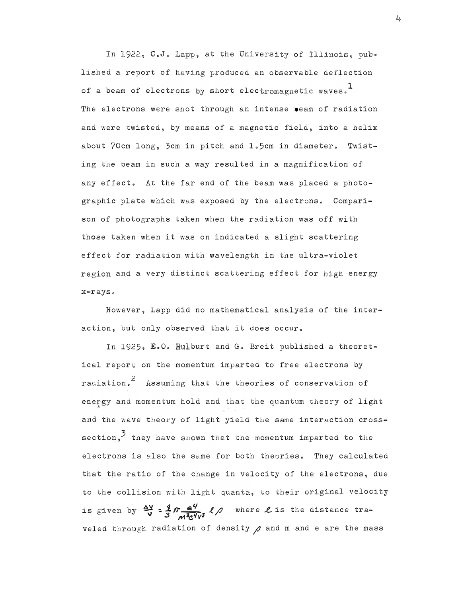In 1922, C.J. Lapp, at the University of Illinois, published a report of having produced an observable deflection of a beam of electrons by short electromagnetic waves.<sup>1</sup> The electrons were shot through an intense beam of radiation and were twisted, by means of a magnetic field, into a helix about 70cm long, 3cm in pitch and 1.5cm in diameter. Twisting the beam in such a way resulted in a magnification of any effect. At the far end of the beam was placed a photographic plate which was exposed by the electrons. Comparison of photographs taken when the radiation was off with those taken when it was on indicated a slight scattering effect for radiation with wavelength in the ultra-violet region and a very distinct scattering effect for high energy x-rays.

However, Lapp did no mathematical analysis of the interaction, but only observed that it does occur.

In 1925,  $E<sub>o</sub>$ O. Hulburt and G. Breit published a theoretical report on the momentum imparted to free electrons by radiation.<sup>2</sup> Assuming that the theories of conservation of energy and momentum hold and that the quantum theory of light and the wave theory of light yield the same interaction crosssection,<sup>3</sup> they have shown that the momentum imparted to the electrons is also the same for both theories. They calculated that the ratio of the change in velocity of the electrons, due to the collision with light quanta, to their original velocity is given by  $\frac{dy}{v} = \frac{g}{3} \pi \frac{e^Q}{m^3 c^2 v^3}$   $\ell$  where L is the distance traveled through radiation of density  $\rho$  and m and e are the mass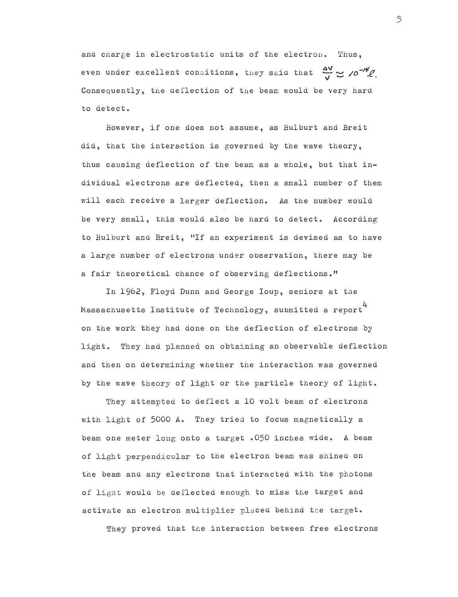and charge in electrostatic units of the electron. Thus, even under excellent conditions, they said that  $\frac{\Delta V}{V} \approx /e^{-\frac{r}{V}}\ell$ . Consequently, the deflection of the beam would be very hard to detect.

However, if one does not assume, as Hulburt and Breit did, that the interaction is governed by the wave theory, thus causing deflection of the beam as a whole, but that individual electrons are deflected, then a small number of tbem will each receive a larger deflection. As the number would be very small, this would also be hard to detect. According to Hulburt and Breit, "If an experiment is devised as to have a large number of electrons under observation, there may be a fair theoretical chance of observing deflections."

In 1962, Floyd Dunn and George Ioup, seniors at the Massachusetts Institute of Technology, submitted a report on the work they had done on the deflection of electrons by light. They had planned on obtaining an observable deflection and then on determining whether the interaction was governed by the wave theory of light or the particle theory of light.

They attempted to deflect a 10 volt beam of electrons with light of 5000 A. They tried to focus magnetically a beam one meter long onto a target .050 inches wide. A beam of light perpendicular to the electron beam was shined on the beam and any electrons that interacted with the photons of light would be deflected enough to miss the target and activate an electron multiplier placed behind the target.

They proved that the interaction between free electrons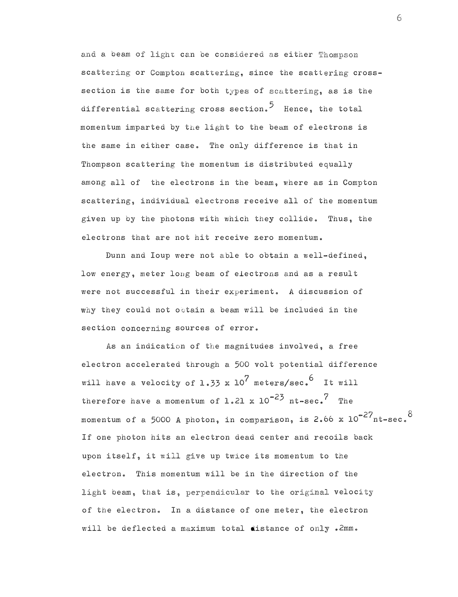and a beam of light can be considered as either Thompson scattering or Compton scattering, since the scattering crosssection is the same for both types of scattering, as is the differential scattering cross section.<sup>5</sup> Hence, the total momentum imparted by the light to the beam of electrons is the same in either case. The only difference is that in Thompson scattering the momentum is distributed equally among all of the electrons in the beam, where as in Compton scattering, individual electrons receive all of the momentum given up by the photons with which they collide. Thus, the electrons that are not hit receive zero momentum.

Dunn and Ioup were not able to obtain a well-defined, low energy, meter long beam of electrons and as a result were not successful in their experiment. A discussion of why they could not obtain a beam will be included in the section concerning sources of error.

As an indication of the magnitudes involved, a free electron accelerated through a 500 volt potential difference will have a velocity of 1.33 x  $10^7$  meters/sec.  $^6$  It will therefore have a momentum of  $1.21 \times 10^{-23}$  nt-sec.<sup>7</sup> The momentum of a 5000 A photon, in comparison, is 2.66 x  $10^{-27}$ nt-sec. $^\circ$ If one photon hits an electron dead center and recoils back upon itself, it will give up twice its momentum to the electron. This momentum will be in the direction of the light beam, that is, perpendicular to the original velocity of the electron. In a distance of one meter, the electron will be deflected a maximum total distance of only . 2mm.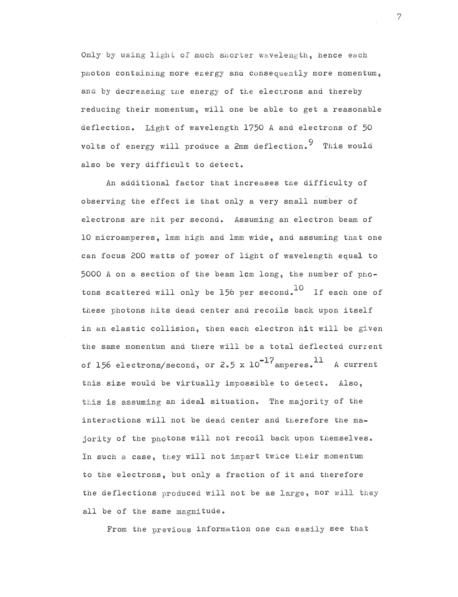Only by using light of much shorter wavelength, hence each photon containing more energy and consequently more momentum, and by decreasing the energy of the electrons and thereby reducing their momentum, will one be able to get a reasonable deflection. Light of wavelength 1750 A and electrons of 50 volts of energy will produce a 2mm deflection. 9 This would also be very difficult to detect.

An additional factor that increases the difficulty of observing the effect is that only a very small number of electrons are hit per second. Assuming an electron beam of 10 microamperes, lmm high and lmm wide, and assuming tnat one can focus 200 watts of power of light of wavelength equal to  $5000$  A on a section of the beam  $1$ cm  $1$ ong, the number of photons scattered will only be 156 per second. If each one of these photons hits dead center and recoils back upon itself in an elastic collision, then each electron hit will be given the same momentum and there will be a total deflected current of 156 electrons/second, or 2.5 x  $10^{-17}$  amperes.  $^{11}$  A current this size would be virtually impossible to detect. Also, this is assuming an ideal situation. The majority of the interactions will not be dead center and therefore the majority of the photons will not recoil back upon themselves. In such a case, they will not impart twice their momentum to the electrons, but only a fraction of it and therefore the deflections produced will not be as large, nor will they all be of the same magnitude.

From the previous information one can easily see that

 $\overline{7}$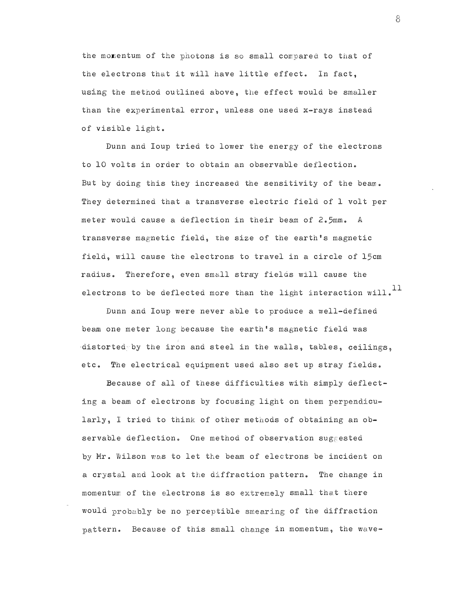the momentum of the photons is so small compared to that of the electrons that it will have little effect. In fact, using the method outlined above, the effect would be smaller than the experimental error, unless one used x-rays instead of visible light.

Dunn and Ioup tried to lower the energy of the electrons to 10 volts in order to obtain an observable deflection. But by doing this they increased the sensitivity of the beam. They determined that a transverse electric field of 1 volt per meter would cause a deflection in their beam of 2.5mm. A transverse magnetic field, the size of the earth's magnetic field, will cause the electrons to travel in a circle of 15cm radius. Therefore, even small stray fields will cause the electrons to be deflected more than the light interaction will. $^{11}$ 

Dunn and Ioup were never able to produce a well-defined beam one meter long because the earth's magnetic field was distorted by the iron and steel in the walls, tables, ceilings. etc. The electrical equipment used also set up stray fields.

Because of all of these difficulties with simply deflecting a beam of electrons by focusing light on them perpendicularly, I tried to think of other methods of obtaining an observable deflection. One method of observation suggested by Mr. Wilson was to let the beam of electrons be incident on a crystal and look at the diffraction pattern. The change in momentum of the electrons is so extremely small that there  $\,$ would probably be no perceptible smearing of the diffraction  $\,$ tern. Because of this small change in momentum, the wave-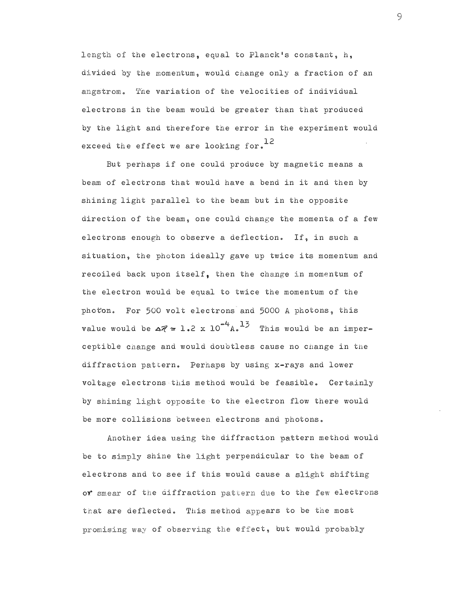length of the electrons, equal to Planck's constant, h, divided by the momentum, would change only a fraction of an angstrom. The variation of the velocities of individual electrons in the beam would be greater than that produced by the light and therefore the error in the experiment would exceed the effect we are looking for.<sup>12</sup>

But perhaps if one could produce by magnetic means a beam of electrons that would have a bend in it and then by shining light parallel to the beam but in the opposite direction of the beam, one could change tne momenta of a few elec trons enough to observe a deflection. If, in such a situation, the photon ideally gave up twice its momentum and recoiled back upon itself, then the change in momentum of the electron would be equal to twice the momentum of the photon. For 500 volt electrons and 5000 A photons, this value would be  $\Delta z = 1.2 \times 10^{-4} A$ . This would be an imperceptible and would doubtless cause no cnange in the diffraction pattern. Perhaps by using x-rays and lower voltage electrons this method would be feasible. Certainly by shining light opposite to the electron flow there would be more collisions between electrons and photons.

Another idea using the diffraction pattern method would be to simply shine the light perpendicular to the beam of electrons and to see if this would cause a slight shifting or smear of the diffraction pattern due to the few electrons that are deflected. This method appears to be the most of observing the effect, but would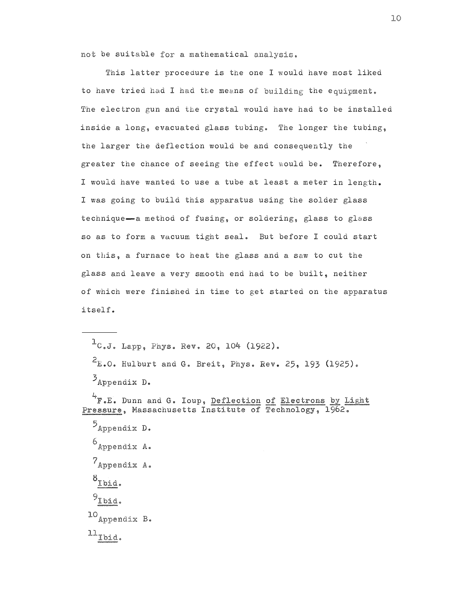not be suitable for a mathematical analysis.

This latter procedure is the one I would have most liked to have tried had I had the means of building the equipment. The electron gun and the crystal would have had to be installed inside a long, evacuated glass tubing. The longer the tubing, the larger the deflection would be and consequently the greater the chance of seeing the effect would be. Therefore, I would have wanted to use a tube at least a meter in length. I was going to build this apparatus using the solder glass technique-a method of fusing, or soldering, glass to glass so as to form a vacuum tight seal. But before I could start on this, a furnace to heat the glass and a saw to cut the glass and leave a very smooth end had to be built, neither of which were finished in time to get started on the apparatus itself •

 $^{1}$ C.J. Lapp. Phys. Rev. 20, 104 (1922).  $2_{E,0}$ . Hulburt and G. Breit, Phys. Rev. 25, 193 (1925). S<sub>Appendix</sub> D. • E. Dunn and G. Ioup, , Massachusetts Ins ����  $\mathcal{P}_{\text{Appendix D.}}$ 6<sub>Appendix</sub> A. 7 Appendix A.  $\delta_{\text{Ibid.}}$  $9_{\text{Ibid.}}$  $^{10}$  Appendix B.  $^{11}$  Tbid.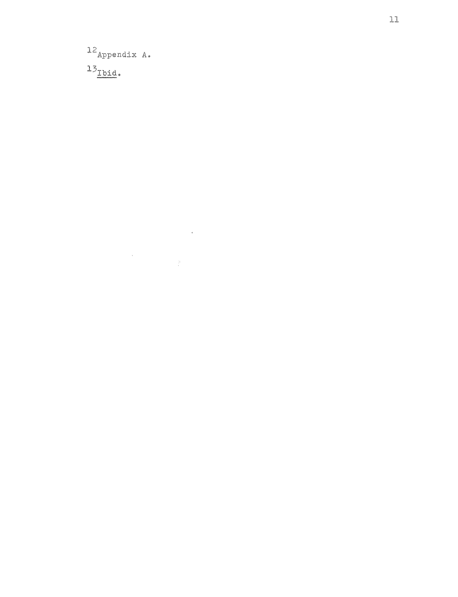$12$  Appendix A.  $^{13}$  Tbid.

 $\label{eq:2.1} \frac{1}{\sqrt{2}}\int_{0}^{\infty}\frac{1}{\sqrt{2\pi}}\left(\frac{1}{\sqrt{2\pi}}\right)^{2\alpha} \frac{1}{\sqrt{2\pi}}\int_{0}^{\infty}\frac{1}{\sqrt{2\pi}}\left(\frac{1}{\sqrt{2\pi}}\right)^{\alpha} \frac{1}{\sqrt{2\pi}}\frac{1}{\sqrt{2\pi}}\int_{0}^{\infty}\frac{1}{\sqrt{2\pi}}\frac{1}{\sqrt{2\pi}}\frac{1}{\sqrt{2\pi}}\frac{1}{\sqrt{2\pi}}\frac{1}{\sqrt{2\pi}}\frac{1}{\sqrt{2\pi}}$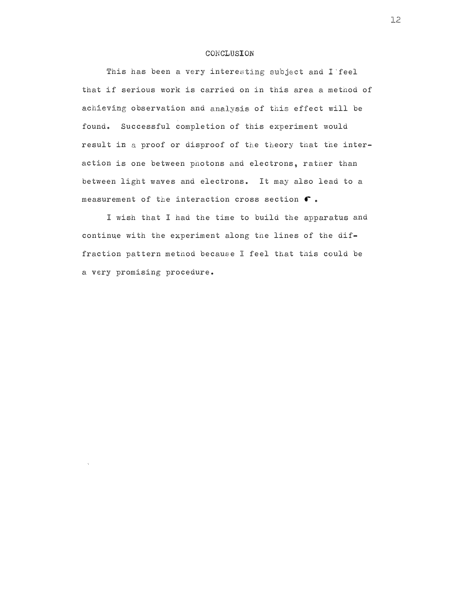### CONCLUSION

This has been a very interesting subject and I feel that if serious work is carried on in this area a method of achieving observation and analysis of this effect will be found. Successful completion of this experiment would result in a proof or disproof of the theory that the interaction is one between photons and electrons, rather than between light waves and electrons. It may also lead to a measurement of the interaction cross section  $\bullet$ .

I wish that I had the time to build the apparatus and continue with the experiment along the lines of the diffraction pat�ern method because I feel that this could be a very promising procedure.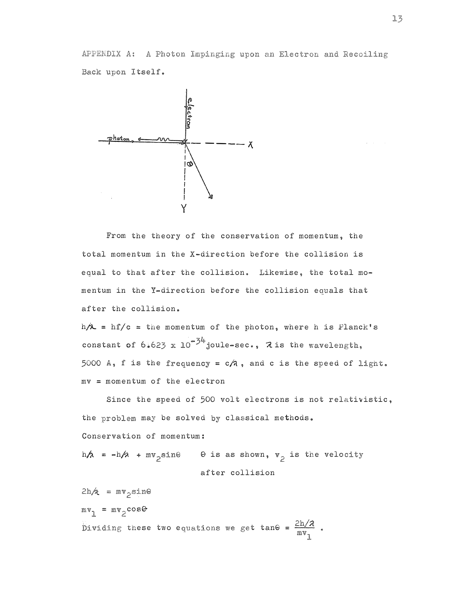APPENDIX A: A Photon Impinging upon an Electron and Recoiling Back upon Itself.



From the theory of the conservation of momentum, the total momentum in the X-direction before the collision is equal to that after the collision. Likewise, the total momentum in the Y-direction before the collision equals that after the collision.

 $h/\lambda = hf/c =$  the momentum of the photon, where h is Planck's constant of  $6.623 \times 10^{-34}$  joule-sec.,  $2 \text{ is the wavelength,}$ 5000 A, f is the frequency =  $c/n$ , and c is the speed of light.  $mv = momentum of the electron$ 

Since the speed of 500 volt electrons is not relativistic, the problem may be solved by classical methods. Conservation of momentum: h $\phi$  = -h $\alpha$  + mv<sub>p</sub>sin $\circ$  .  $\circ$  is as shown, v<sub>p</sub> is the velog

after collision

 $2h \lambda = mv$  sine  $mv_1$  =  $mv_2 \cos\theta$ these two equations we get tan $\Theta$  =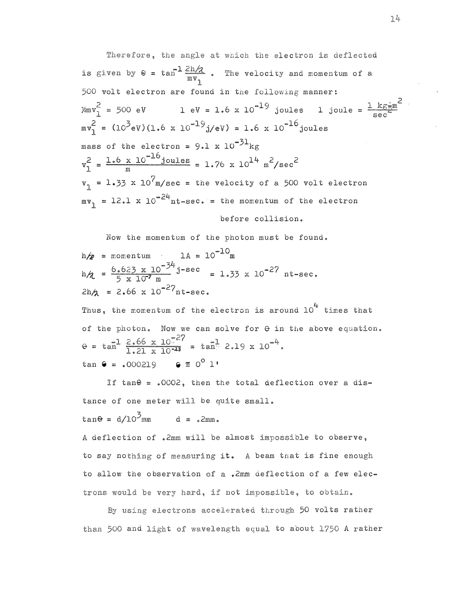is given by  $\theta = \tan^{-1} \frac{2h}{m v}$ . The velocity and momentum of a electron ls deilected 500 volt electron are found in the following manner: =  $(10^9 \text{eV}) (1.6 \times 10^{-19} \text{j/eV}) = 1.6 \times 10^{-16} \text{joules}$  $\chi_{\text{m}} v_1^2 = 500 \text{ eV}$  1 eV = 1.6 x 10<sup>-19</sup> joules 1 joule =  $\frac{1 \text{ kg} \cdot \text{m}}{\text{sec}^2}$ mass of the electron = 9.1 x  $10^{-31}$ kg m  $=$  1.33 x 10'm/sec = the velocity of a 500 volt electron  $=$   $12.1$  x  $10$  nt-sec.  $=$  the momentum of the electron  $= 1.76 \times 10^{14} \text{ m}^2/\text{sec}^2$ before collision.

Now the momentum of the photon must be found.

$$
h/p
$$
 = momentum 1A = 10<sup>-10</sup>m  
\n $h/p$  =  $\frac{6.623 \times 10^{-34}}{5 \times 10^{7} m}$  j-sec = 1.33 x 10<sup>-27</sup> nt-sec.  
\n $2h/p$  = 2.66 x 10<sup>-27</sup> nt-sec.

Thus, the momentum of the electron is around  $10^4$  times that of the photon. Now we can solve for  $\theta$  in the above equation.  $\theta = \tan^1 \frac{2.66 \times 10^{-27}}{1.21 \times 10^{-23}} = \tan^1 2.19 \times 10^{-4}$ . tan  $\theta = 0.000219$   $\theta \equiv 0^0 1'$ 

If tan $\Theta$  = .0002, then the total deflection over a distance of one meter will be quite small.

$$
\tan\Theta = d/10 \text{ mm} \qquad d = \text{2mm}.
$$

A deflection of .2mm will be almost impossible to observe. to say nothing of measuring it. A beam that is fine enough to allow the observation of a .2mm deflection of a few electrons would be very hard, if not impossible, to obtain.

By using electrons accelerated through 50 volts rather than 500 and light of wavelength equal to about 1750 A rather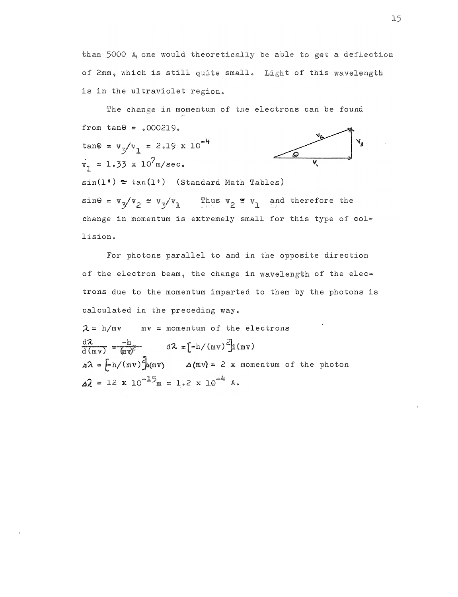than 5000  $A<sub>9</sub>$  one would theoretically be able to get a deflection of 2mm, which is still quite small. Light of this wavelength is in the ultraviolet region.

The change in momentum of the electrons can be found from tan $\theta$  = .000219.<br>tan $\theta$  =  $v_{3}/v_{1}$  = 2.19 x 10<sup>-4</sup>  $\dot{v}_1 = 1.33 \times 10^7$  m/sec.  $sin(1) \approx tan(1)$  (Standard Math Tables) v,  $\sin\theta = v_3/v_2 = v_3/v_1$  Thus  $v_2 \equiv v_1$  and therefore the change in momentum is extremely small for this type of col-1ision.

For photons parallel to and in the opposite direction of the electron beam, the change in wavelength of the electrons due to the momentum imparted to them by the photons is calculated in the preceding way.

 $\lambda = h/mv$  mv = momentum of the electrons  $\frac{d\lambda}{d(mv)} = \frac{-h}{wv^2}$   $d\lambda = [-h/(mv)^2]d(mv)$  $\Delta \lambda = \frac{\sum_{m=1}^{n} (mv)^2}{\sum_{m=1}^{n} (mv)}$   $\Delta (mv) = 2$  x momentum of the photon  $\Delta \lambda = 12 \times 10^{-15}$ m = 1.2 x 10<sup>-4</sup> A.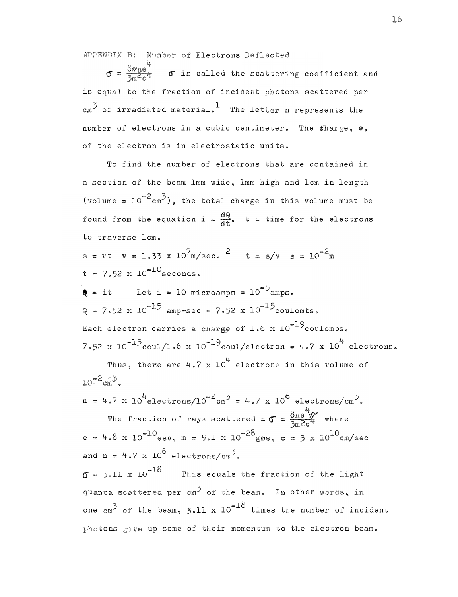APPENDIX B: Number of Electrons Deflected

 $\sigma = \frac{8\pi n e^4}{3m\epsilon_0 r^2}$   $\sigma$  is called the scattering coefficient and is equal to the fraction of incident photons scattered per  $\text{cm}^3$  of irradiated material.<sup>1</sup> The letter n represents the number of electrons in a cubic centimeter. The tharge, e, of the electron is in electrostatic units.

To find the number of electrons that are contained in a section of the beam lmm wide, lmm high and lcm in length (volume =  $10^{-2}$ cm<sup>3</sup>), the total charge in this volume must be found from the equation i =  $\frac{dQ}{dt}$ . t = time for the electrons to traverse lcm.

 $s = vt$   $v = 1.33$  x  $10^7$  m/sec. <sup>2</sup>  $t = s/v$   $s = 10^{-2}$  m  $t = 7.52 \times 10^{-10}$  seconds.

 $\bullet$  = it Let i = 10 microamps =  $10^{-5}$ amps.  $Q = 7.52 \times 10^{-15}$  amp-sec = 7.52 x  $10^{-15}$ coulombs. Each electron carries a charge of  $1.6 \times 10^{-19}$ coulombs. 7.52 x  $10^{-15}$ coul/1.6 x  $10^{-19}$ coul/electron = 4.7 x  $10^{4}$  electrons.

Thus, there are  $4.7 \times 10^4$  electrons in this volume of  $10^{-2}$  cm<sup>3</sup>.

 $n = 4.7 \times 10^{4}$ electrons/10<sup>-2</sup>cm<sup>3</sup> = 4.7 x 10<sup>6</sup> electrons/cm<sup>3</sup>.

The fraction of rays scattered =  $\sigma = \frac{8ne^4\gamma}{5me^2c^4}$  where e = 4.8 x 10<sup>-10</sup>esu, m = 9.1 x 10<sup>-28</sup>gms, c = 3 x 10<sup>10</sup>cm/sec and  $n = 4.7 \times 10^6$  electrons/cm<sup>3</sup>.

 $\sigma$  = 3.11 x 10<sup>-18</sup> This equals the fraction of the light quanta scattered per  $cm^3$  of the beam. In other words, in one  $\text{cm}^3$  of the beam, 3.11 x 10<sup>-18</sup> times the number of incident photons give up some of their momentum to the electron beam.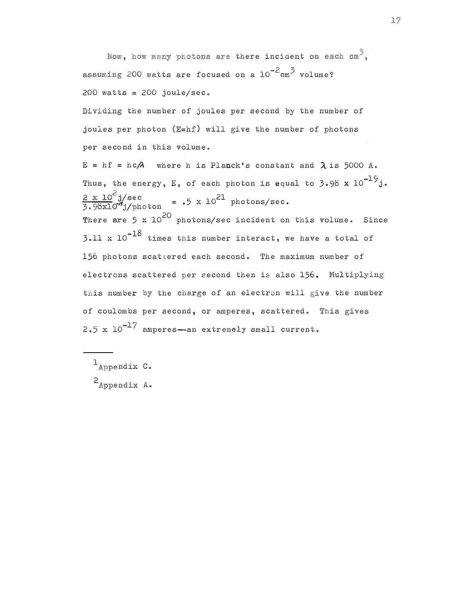Now, how many photons are there incident on each  $\text{cm}^3$ . assuming 200 watts are focused on a  $10^{-2}$  cm<sup>3</sup> volume? 2 00 watts = 2 00 joule/sec. Dividing the number of joules per second by the number of joules per photon  $(E=hf)$  will give the number of photons per second in this volume.  $E = hf = hc/A$  where h is Planck's constant and  $\lambda$  is 5000 A. Thus, the energy, E, of each photon is equal to 3.98  $\text{x } 10^{-19} \text{j}$ .  $\tan = .5 \times 10^{21}$  photons/sec. There are 5 x  $10^{20}$  photons/sec incident on this volume. Since 3.11  $\mathrm{x}$  10 $^{-18}$  times this number interact, we have a total of 156 photons scattered each second. The maximum number of electrons scattered per second then is also 156. Multiplying this number by the charge of an electron will give the number of coulombs per second, or amperes, scattered. This  $2.5 \times 10^{-17}$  amperes-an extremely small current.

 $1$ Appendix C.  $2$ Appendix A.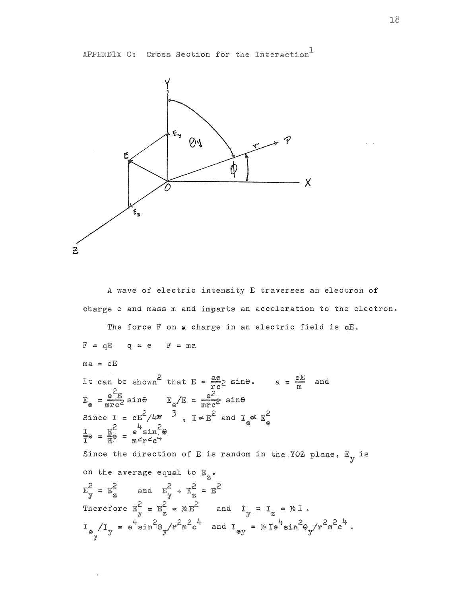

A wave of electric intensity E traverses an electron of charge e and mass m and imparts an acceleration to the electron.

The force F on a charge in an electric field is qE.  $F = qE$   $q = e$   $F = ma$  $ma = eE$ It can be shown<sup>2</sup> that  $E = \frac{ae}{rc^2}$  sine.  $a = \frac{eE}{m}$  and<br>  $E_e = \frac{e^2}{mr c^2}$  sine  $E_e / E = \frac{e^2}{mr c^2}$  sine Since  $I = cE^2/4\pi \frac{3}{5}$ ,  $I \propto E^2$  and  $I \propto E_{\odot}^2$ <br>  $\frac{I}{I} \propto = \frac{E^2}{E^3} = \frac{4}{m^2r^2c^4}$ Since the direction of E is random in the YOZ plane,  $E_y$  is on the average equal to  $E_{\alpha}$ .  $E_v^2 = E_z^2$  and  $E_v^2 + E_z^2 = E^2$ Therefore  $E_y^2 = E_z^2 = \gamma E^2$  and  $I_y = I_z = \gamma E I$ .<br>  $I_{\Theta_y} / I_y = e^{i \frac{L}{2} \sin^2{\theta_y}} / r^2 m^2 c^{i \frac{L}{2}}$  and  $I_{\Theta y} = \gamma E I e^{i \frac{L}{2} \sin^2{\theta_y}} / r^2 m^2 c^{i \frac{L}{2}}$ .

APPENDIX C: Cross Section for the Interaction<sup>1</sup>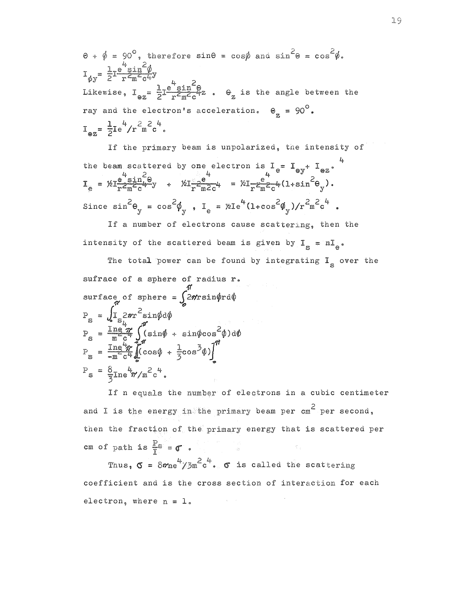$\theta + \phi = 90^{\circ}$ , therefore sin $\theta = \cos \phi$  and  $\sin^2 \theta = \cos^2 \phi$ .  $I_{\text{av}} = \frac{1}{2} I \frac{e^{\frac{1}{2}} \sin \frac{1}{2} \phi}{r^2 m^2 \alpha^2}$ Likewise,  $I_{\alpha z} = \frac{1}{2} I \frac{e^4 \sin^2 \theta}{r^2 \pi^2 c^4}$ .  $\theta_z$  is the angle between the ray and the electron's acceleration.  $\theta_{g} = 90^{\circ}$ .  $I_{\alpha z} = \frac{1}{2} I e^4 / r^2 m^2 c^4$ .

If the primary beam is unpolarized, the intensity of the beam scattered by one electron is  $I_e = I_{ey} + I_{ez}$ .<br>  $I_e = \frac{\mu}{2} \frac{e^{iS_1 \pi} - e^{iS_2 \pi}}{e^{iS_1 \pi} - e^{iS_2 \pi}}$ .<br>  $I_e = \frac{\mu}{2} \frac{e^{iS_1 \pi} - e^{iS_2 \pi}}{e^{iS_1 \pi} - e^{iS_2 \pi}}$ . Since  $\sin^2\theta_{\text{y}} = \cos^2\phi_{\text{y}}$ ,  $I_e = \frac{\hbar^4}{(1+\cos^2\phi_{\text{y}})/r^2m^2c^4}$ .

If a number of electrons cause scattering, then the intensity of the scattered beam is given by  $I_g = nI_g$ .

The total power can be found by integrating  $I_{\rm g}$  over the sufrace of a sphere of radius r. surface of sphere =  $\int_{0}^{L} 2\pi r \sin \phi r d\phi$  $\begin{array}{l} \mathbb{P}_s = \int_{\mathbb{S}} \mathbb{1}_s 2\pi r^2 \sin \phi \, \mathrm{d} \phi \\ \mathbb{P}_s = \frac{\mathbb{1} \operatorname{ne} \pi}{m^2 c^4} \int_{\mathbb{S}}^{\pi} (\sin \phi + \sin \phi \cos^2 \phi) \, \mathrm{d} \phi \end{array}$  $P_{\rm g} = \frac{\text{Im} \frac{U}{2} \pi}{\text{Im} \frac{U}{2} C^4} \left[ (\cos \phi + \frac{1}{5} \cos^3 \phi) \right]^n$  $P_s = \frac{8}{2} \text{Im} \frac{4}{\pi} / \text{m}^2 \text{c}^4$ .

If n equals the number of electrons in a cubic centimeter and I is the energy in the primary beam per  $cm^2$  per second, then the fraction of the primary energy that is scattered per cm of path is  $\frac{p}{\tau}$  =  $\sigma$ .

Thus,  $\sigma = 8m e^4 / 3m^2 c^4$ .  $\sigma$  is called the scattering coefficient and is the cross section of interaction for each electron, where  $n = 1$ .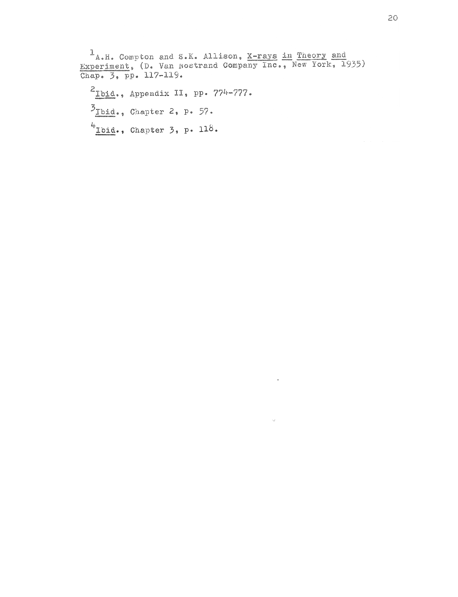$1_{A,H}$ . Compton and S.K. Allison, <u>X-rays in Theory and Experiment</u>, (D. Van Nostrand Company Inc., New York, 1935)<br>Chap. 3, pp. 117-119.  $2_{\text{Ibid.}}$ , Appendix II, pp. 774-777.  $\overline{5}_{\text{Ibid.}}$ , Chapter 2, p. 57.  $4$  Ibid., Chapter 3, p. 118.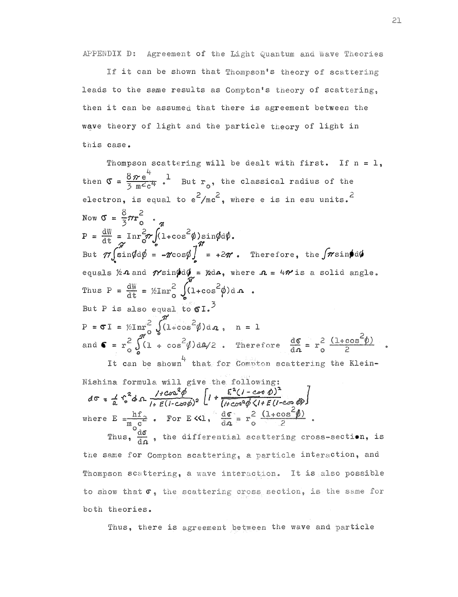APPENDIX D: Agreement of the Light Quantum and Wave Theories

If it can be shown that Thompson's theory of scattering leads to the same results as Compton's theory of scattering, then it can be assumed that there is agreement between the wave theory of light and the particle theory of light in this case.

Thompson scattering will be dealt with first. If  $n = 1$ , then  $\sigma = \frac{8\pi e^4}{3 m^2 e^4}$ . But  $r_o$ , the classical radius of the electron, is equal to  $e^2/mc^2$ , where e is in esu units.<sup>2</sup> Now  $\sigma = \frac{8}{3} \pi r_0^2$  $P = \frac{dW}{dt} = \text{Im} \frac{2}{3} \pi \int (1 + \cos^2 \phi) \sin \phi d\phi$ .<br>But  $\pi \int \sin \phi d\phi = -\pi \cos \phi \int = +2\pi$ . Therefore, the  $\int \pi \sin \phi d\phi$ equals  $\forall x$  and  $\gamma$ sin $\oint d\phi = \oint d\phi$ , where  $\eta = 4\gamma$  is a solid angle. Thus  $P = \frac{dW}{dt} = \frac{\pi^2}{2} \int (1 + \cos^2 \phi) d\mathbf{n}$ . But P is also equal to  $\mathfrak{sl}^3$ P =  $\sigma I$  =  $\frac{1}{2}\pi r_0^2 \int_0^{\pi} (1 + \cos^2 \phi) d\mathbf{r}$ , n = 1<br>and  $\sigma = r_0^2 \int_0^{\pi} (1 + \cos^2 \phi) d\mathbf{r}/2$ . Therefore  $\frac{d\sigma}{d\mathbf{r}} = r_0^2 \frac{(1 + \cos^2 \phi)}{2}$ 

It can be shown that for Compton scattering the Klein-Nishina formula will give the following:  $4\pi$   $(5^2)$   $(1002^2)$   $\int$ ,  $E^2(1-\cos \theta)^2$ 

$$
d\sigma = \frac{1}{a} \sqrt{4 \Omega} \frac{1}{1+E(1-c\sigma\phi)^2} \int_0^1 \sqrt{4 \cos^2 \phi \sqrt{1+E(1-c\sigma \phi)}} d\phi
$$
  
where  $E = \frac{hf}{m_0 c^2}$ . For E $\propto 1$ ,  $\frac{d\sigma}{d\alpha} = r_0^2 \frac{(1+cos^2 \phi)}{2}$ .

Thus,  $\frac{dS}{d\Omega}$ , the differential scattering cross-section, is the same for Compton scattering, a particle interaction, and Thompson scattering, a wave interaction. It is also possible to show that  $\sigma$ , the scattering cross section, is the same for both theories.

Thus, there is agreement between the wave and particle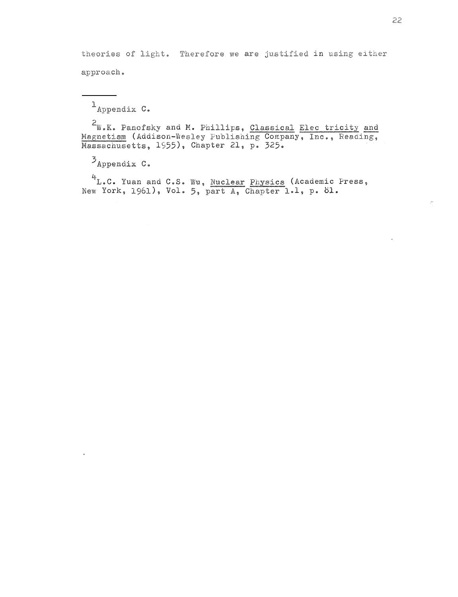theories of light. Therefore we are justified in using either approach.

 $1$ Appendix  $C_0$ 

<sup>2</sup>W.K. Panofsky and M. Phillips, Classical Elec tricity and Magnetism (Addison-Wesley Publishing Company, Inc., Reading, Massachusetts, 1955), Chapter 21, p. 325.

 $\mathcal{I}_{\text{Appendix C}}$  .

4L.C. Yuan and C.S. Wu, Nuclear Physics (Academic Press, New York, 1961), Vol. 5, part A, Chapter 1.1, p. 81.